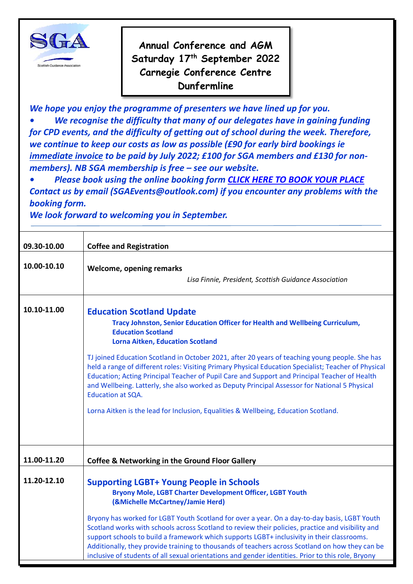

**Annual Conference and AGM Saturday 17th September 2022 Carnegie Conference Centre Dunfermline**

*We hope you enjoy the programme of presenters we have lined up for you. • We recognise the difficulty that many of our delegates have in gaining funding for CPD events, and the difficulty of getting out of school during the week. Therefore, we continue to keep our costs as low as possible (£90 for early bird bookings ie immediate invoice to be paid by July 2022; £100 for SGA members and £130 for nonmembers). NB SGA membership is free – see our website.*

*• Please book using the online booking form [CLICK HERE TO BOOK YOUR](https://forms.gle/h4JXwjpCNkyM5D9N8) PLACE Contact us by email (SGAEvents@outlook.com) if you encounter any problems with the booking form.*

*We look forward to welcoming you in September.*

| 09.30-10.00 | <b>Coffee and Registration</b>                                                                                                                                                                                                                                                                                                                                                                                                                                                                                                                                                                                                                                                                                           |
|-------------|--------------------------------------------------------------------------------------------------------------------------------------------------------------------------------------------------------------------------------------------------------------------------------------------------------------------------------------------------------------------------------------------------------------------------------------------------------------------------------------------------------------------------------------------------------------------------------------------------------------------------------------------------------------------------------------------------------------------------|
| 10.00-10.10 | <b>Welcome, opening remarks</b><br>Lisa Finnie, President, Scottish Guidance Association                                                                                                                                                                                                                                                                                                                                                                                                                                                                                                                                                                                                                                 |
| 10.10-11.00 | <b>Education Scotland Update</b><br>Tracy Johnston, Senior Education Officer for Health and Wellbeing Curriculum,<br><b>Education Scotland</b><br><b>Lorna Aitken, Education Scotland</b><br>TJ joined Education Scotland in October 2021, after 20 years of teaching young people. She has<br>held a range of different roles: Visiting Primary Physical Education Specialist; Teacher of Physical<br>Education; Acting Principal Teacher of Pupil Care and Support and Principal Teacher of Health<br>and Wellbeing. Latterly, she also worked as Deputy Principal Assessor for National 5 Physical<br><b>Education at SQA.</b><br>Lorna Aitken is the lead for Inclusion, Equalities & Wellbeing, Education Scotland. |
| 11.00-11.20 | <b>Coffee &amp; Networking in the Ground Floor Gallery</b>                                                                                                                                                                                                                                                                                                                                                                                                                                                                                                                                                                                                                                                               |
| 11.20-12.10 | <b>Supporting LGBT+ Young People in Schools</b><br>Bryony Mole, LGBT Charter Development Officer, LGBT Youth<br>(&Michelle McCartney/Jamie Herd)<br>Bryony has worked for LGBT Youth Scotland for over a year. On a day-to-day basis, LGBT Youth<br>Scotland works with schools across Scotland to review their policies, practice and visibility and<br>support schools to build a framework which supports LGBT+ inclusivity in their classrooms.<br>Additionally, they provide training to thousands of teachers across Scotland on how they can be<br>inclusive of students of all sexual orientations and gender identities. Prior to this role, Bryony                                                             |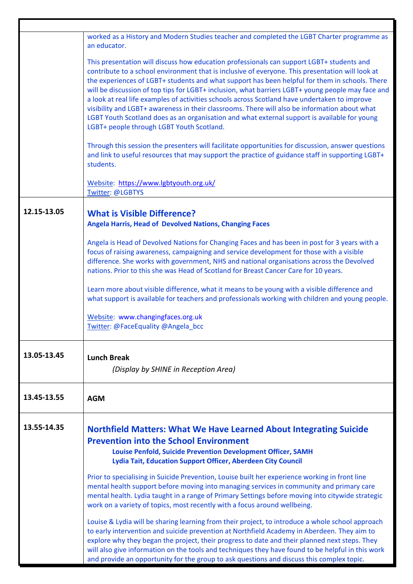|             | worked as a History and Modern Studies teacher and completed the LGBT Charter programme as<br>an educator.                                                                                                                                                                                                                                                                                                                                                                                                                                                                                                                                                                                                                                          |
|-------------|-----------------------------------------------------------------------------------------------------------------------------------------------------------------------------------------------------------------------------------------------------------------------------------------------------------------------------------------------------------------------------------------------------------------------------------------------------------------------------------------------------------------------------------------------------------------------------------------------------------------------------------------------------------------------------------------------------------------------------------------------------|
|             | This presentation will discuss how education professionals can support LGBT+ students and<br>contribute to a school environment that is inclusive of everyone. This presentation will look at<br>the experiences of LGBT+ students and what support has been helpful for them in schools. There<br>will be discussion of top tips for LGBT+ inclusion, what barriers LGBT+ young people may face and<br>a look at real life examples of activities schools across Scotland have undertaken to improve<br>visibility and LGBT+ awareness in their classrooms. There will also be information about what<br>LGBT Youth Scotland does as an organisation and what external support is available for young<br>LGBT+ people through LGBT Youth Scotland. |
|             | Through this session the presenters will facilitate opportunities for discussion, answer questions<br>and link to useful resources that may support the practice of guidance staff in supporting LGBT+<br>students.                                                                                                                                                                                                                                                                                                                                                                                                                                                                                                                                 |
|             | Website: https://www.lgbtyouth.org.uk/<br>Twitter: @LGBTYS                                                                                                                                                                                                                                                                                                                                                                                                                                                                                                                                                                                                                                                                                          |
| 12.15-13.05 | <b>What is Visible Difference?</b><br><b>Angela Harris, Head of Devolved Nations, Changing Faces</b>                                                                                                                                                                                                                                                                                                                                                                                                                                                                                                                                                                                                                                                |
|             | Angela is Head of Devolved Nations for Changing Faces and has been in post for 3 years with a<br>focus of raising awareness, campaigning and service development for those with a visible<br>difference. She works with government, NHS and national organisations across the Devolved<br>nations. Prior to this she was Head of Scotland for Breast Cancer Care for 10 years.                                                                                                                                                                                                                                                                                                                                                                      |
|             | Learn more about visible difference, what it means to be young with a visible difference and<br>what support is available for teachers and professionals working with children and young people.                                                                                                                                                                                                                                                                                                                                                                                                                                                                                                                                                    |
|             | Website: www.changingfaces.org.uk<br>Twitter: @FaceEquality @Angela_bcc                                                                                                                                                                                                                                                                                                                                                                                                                                                                                                                                                                                                                                                                             |
| 13.05-13.45 | <b>Lunch Break</b><br>(Display by SHINE in Reception Area)                                                                                                                                                                                                                                                                                                                                                                                                                                                                                                                                                                                                                                                                                          |
| 13.45-13.55 | <b>AGM</b>                                                                                                                                                                                                                                                                                                                                                                                                                                                                                                                                                                                                                                                                                                                                          |
| 13.55-14.35 | <b>Northfield Matters: What We Have Learned About Integrating Suicide</b><br><b>Prevention into the School Environment</b><br>Louise Penfold, Suicide Prevention Development Officer, SAMH                                                                                                                                                                                                                                                                                                                                                                                                                                                                                                                                                          |
|             | Lydia Tait, Education Support Officer, Aberdeen City Council                                                                                                                                                                                                                                                                                                                                                                                                                                                                                                                                                                                                                                                                                        |
|             | Prior to specialising in Suicide Prevention, Louise built her experience working in front line<br>mental health support before moving into managing services in community and primary care<br>mental health. Lydia taught in a range of Primary Settings before moving into citywide strategic<br>work on a variety of topics, most recently with a focus around wellbeing.                                                                                                                                                                                                                                                                                                                                                                         |
|             | Louise & Lydia will be sharing learning from their project, to introduce a whole school approach<br>to early intervention and suicide prevention at Northfield Academy in Aberdeen. They aim to<br>explore why they began the project, their progress to date and their planned next steps. They<br>will also give information on the tools and techniques they have found to be helpful in this work<br>and provide an opportunity for the group to ask questions and discuss this complex topic.                                                                                                                                                                                                                                                  |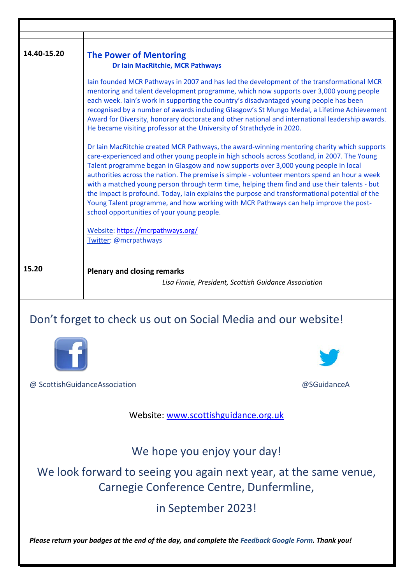| 14.40-15.20 | <b>The Power of Mentoring</b><br><b>Dr Iain MacRitchie, MCR Pathways</b>                                                                                                                                                                                                                                                                                                                                                                                                                                                                                                                                                                                                                                                   |
|-------------|----------------------------------------------------------------------------------------------------------------------------------------------------------------------------------------------------------------------------------------------------------------------------------------------------------------------------------------------------------------------------------------------------------------------------------------------------------------------------------------------------------------------------------------------------------------------------------------------------------------------------------------------------------------------------------------------------------------------------|
|             | lain founded MCR Pathways in 2007 and has led the development of the transformational MCR<br>mentoring and talent development programme, which now supports over 3,000 young people<br>each week. Iain's work in supporting the country's disadvantaged young people has been<br>recognised by a number of awards including Glasgow's St Mungo Medal, a Lifetime Achievement<br>Award for Diversity, honorary doctorate and other national and international leadership awards.<br>He became visiting professor at the University of Strathclyde in 2020.                                                                                                                                                                  |
|             | Dr Iain MacRitchie created MCR Pathways, the award-winning mentoring charity which supports<br>care-experienced and other young people in high schools across Scotland, in 2007. The Young<br>Talent programme began in Glasgow and now supports over 3,000 young people in local<br>authorities across the nation. The premise is simple - volunteer mentors spend an hour a week<br>with a matched young person through term time, helping them find and use their talents - but<br>the impact is profound. Today, Iain explains the purpose and transformational potential of the<br>Young Talent programme, and how working with MCR Pathways can help improve the post-<br>school opportunities of your young people. |
|             | Website: https://mcrpathways.org/<br>Twitter: @mcrpathways                                                                                                                                                                                                                                                                                                                                                                                                                                                                                                                                                                                                                                                                 |
| 15.20       | <b>Plenary and closing remarks</b><br>Lisa Finnie, President, Scottish Guidance Association                                                                                                                                                                                                                                                                                                                                                                                                                                                                                                                                                                                                                                |
|             |                                                                                                                                                                                                                                                                                                                                                                                                                                                                                                                                                                                                                                                                                                                            |

## Don't forget to check us out on Social Media and our website!



@ ScottishGuidanceAssociation @SGuidanceA

Website: [www.scottishguidance.org.uk](http://www.scottishguidance.org.uk/)

We hope you enjoy your day!

We look forward to seeing you again next year, at the same venue, Carnegie Conference Centre, Dunfermline,

in September 2023!

*Please return your badges at the end of the day, and complete the Feedback Google Form. Thank you!*